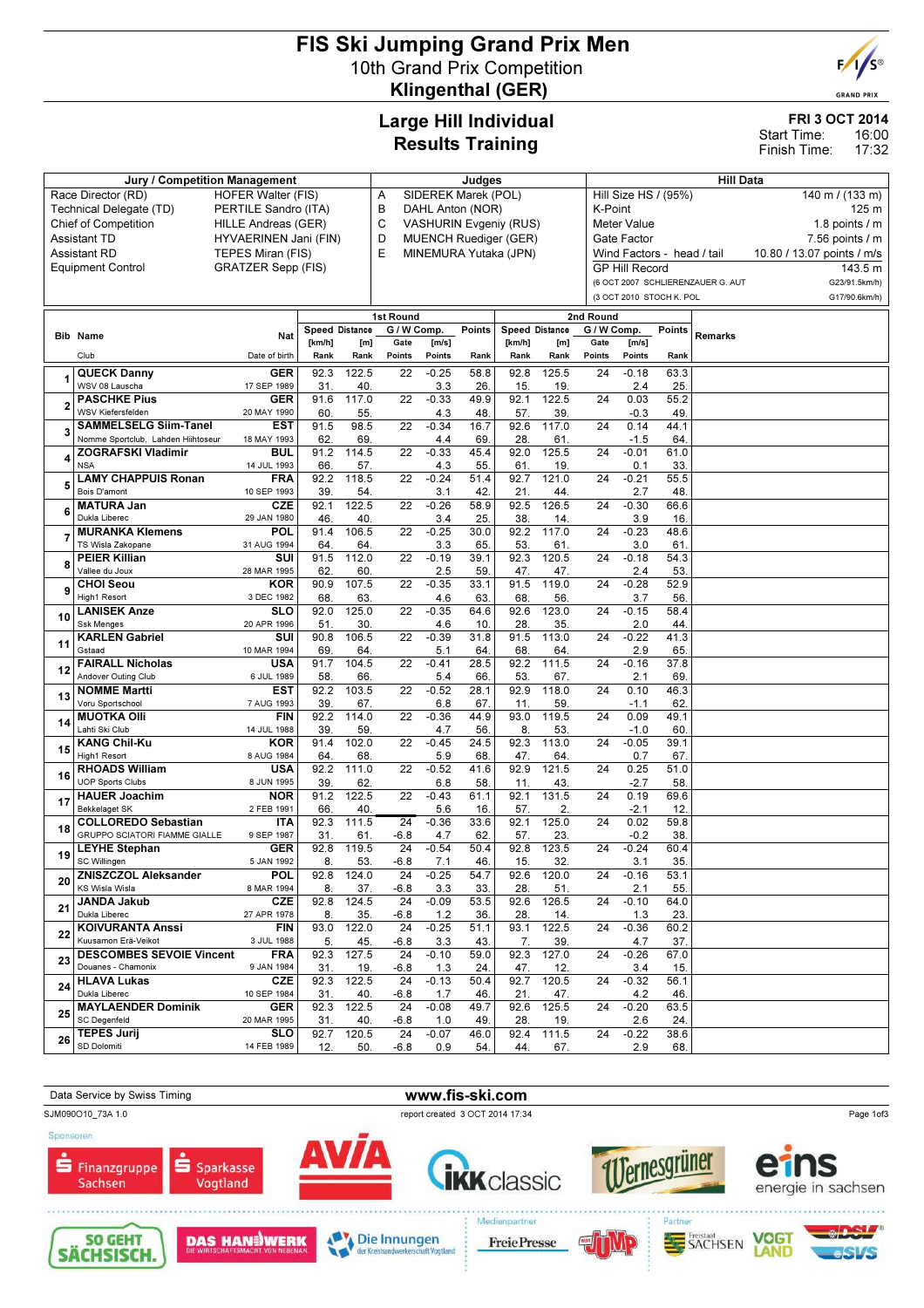# FIS Ski Jumping Grand Prix Men 10th Grand Prix Competition Klingenthal (GER)



**GRAND PRIX** 

## Large Hill Individual Results Training

### FRI 3 OCT 2014

16:00 17:32 Start Time: Finish Time:

|    | <b>Jury / Competition Management</b>                  | Judges                    |                       |                  |                          |                |             | <b>Hill Data</b>                        |                             |                     |                       |                            |                                   |                            |                     |
|----|-------------------------------------------------------|---------------------------|-----------------------|------------------|--------------------------|----------------|-------------|-----------------------------------------|-----------------------------|---------------------|-----------------------|----------------------------|-----------------------------------|----------------------------|---------------------|
|    | Race Director (RD)<br><b>HOFER Walter (FIS)</b>       | Α                         | SIDEREK Marek (POL)   |                  |                          |                |             | Hill Size HS / (95%)<br>140 m / (133 m) |                             |                     |                       |                            |                                   |                            |                     |
|    | Technical Delegate (TD)<br>PERTILE Sandro (ITA)       |                           | B                     | DAHL Anton (NOR) |                          |                |             |                                         | K-Point<br>125 <sub>m</sub> |                     |                       |                            |                                   |                            |                     |
|    | <b>Chief of Competition</b>                           | HILLE Andreas (GER)       |                       |                  | C                        |                |             | <b>VASHURIN Evgeniy (RUS)</b>           |                             |                     | Meter Value           |                            |                                   |                            | 1.8 points $/$ m    |
|    | <b>Assistant TD</b>                                   | HYVAERINEN Jani (FIN)     |                       |                  | D                        |                |             | <b>MUENCH Ruediger (GER)</b>            |                             |                     | Gate Factor           |                            |                                   |                            | $7.56$ points $/ m$ |
|    | <b>Assistant RD</b>                                   | TEPES Miran (FIS)         |                       |                  | E                        |                |             | MINEMURA Yutaka (JPN)                   |                             |                     |                       | Wind Factors - head / tail |                                   | 10.80 / 13.07 points / m/s |                     |
|    | <b>Equipment Control</b>                              | <b>GRATZER Sepp (FIS)</b> |                       |                  |                          |                |             |                                         |                             |                     | <b>GP Hill Record</b> |                            |                                   |                            | 143.5 m             |
|    |                                                       |                           |                       |                  |                          |                |             |                                         |                             |                     |                       |                            | (6 OCT 2007 SCHLIERENZAUER G. AUT |                            | G23/91.5km/h)       |
|    |                                                       |                           |                       |                  |                          |                |             |                                         |                             |                     |                       | (3 OCT 2010 STOCH K. POL   |                                   |                            | G17/90.6km/h)       |
|    |                                                       |                           |                       |                  |                          |                |             |                                         |                             |                     |                       |                            |                                   |                            |                     |
|    |                                                       |                           | <b>Speed Distance</b> |                  | 1st Round<br>G / W Comp. |                | Points      |                                         | <b>Speed Distance</b>       | 2nd Round           |                       | Points                     |                                   |                            |                     |
|    | <b>Bib Name</b>                                       | Nat                       | [km/h]                | [m]              | Gate                     | [m/s]          |             | [km/h]                                  | [m]                         | G / W Comp.<br>Gate | [m/s]                 |                            | Remarks                           |                            |                     |
|    | Club                                                  | Date of birth             | Rank                  | Rank             | Points                   | Points         | Rank        | Rank                                    | Rank                        | Points              | Points                | Rank                       |                                   |                            |                     |
|    | <b>QUECK Danny</b>                                    | <b>GER</b>                | 92.3                  | 122.5            | 22                       | $-0.25$        | 58.8        | 92.8                                    | 125.5                       | 24                  | $-0.18$               | 63.3                       |                                   |                            |                     |
|    | WSV 08 Lauscha                                        | 17 SEP 1989               | 31                    | 40.              |                          | 3.3            | 26          | 15                                      | 19                          |                     | 2.4                   | 25.                        |                                   |                            |                     |
|    | <b>PASCHKE Pius</b>                                   | <b>GER</b>                | 91.6                  | 117.0            | 22                       | $-0.33$        | 49.9        | 92.1                                    | 122.5                       | 24                  | 0.03                  | 55.2                       |                                   |                            |                     |
| 2  | <b>WSV Kiefersfelden</b>                              | 20 MAY 1990               | 60                    | 55.              |                          | 4.3            | 48          | 57.                                     | 39.                         |                     | $-0.3$                | 49.                        |                                   |                            |                     |
|    | <b>SAMMELSELG Siim-Tanel</b>                          | <b>EST</b>                | 91.5                  | 98.5             | $\overline{22}$          | $-0.34$        | 16.7        | 92.6                                    | 117.0                       | $\overline{24}$     | 0.14                  | 44.1                       |                                   |                            |                     |
| 3  | Nomme Sportclub, Lahden Hiihtoseur                    | 18 MAY 1993               | 62.                   | 69.              |                          | 4.4            | 69.         | 28                                      | 61                          |                     | $-1.5$                | 64                         |                                   |                            |                     |
| 4  | <b>ZOGRAFSKI Vladimir</b>                             | <b>BUL</b>                | 91.2                  | 114.5            | 22                       | $-0.33$        | 45.4        | 92.0                                    | 125.5                       | 24                  | $-0.01$               | 61.0                       |                                   |                            |                     |
|    | <b>NSA</b>                                            | 14 JUL 1993               | 66.                   | 57.              |                          | 4.3            | 55          | 61.                                     | 19                          |                     | 0.1                   | 33.                        |                                   |                            |                     |
| 5  | <b>LAMY CHAPPUIS Ronan</b>                            | FRA                       | 92.2                  | 118.5            | 22                       | $-0.24$        | 51.4        | 92.7                                    | 121.0                       | 24                  | $-0.21$               | 55.5                       |                                   |                            |                     |
|    | Bois D'amont                                          | 10 SEP 1993               | 39.                   | 54.              |                          | 3.1            | 42.         | 21.                                     | 44.                         |                     | 2.7                   | 48.                        |                                   |                            |                     |
| 6  | <b>MATURA Jan</b>                                     | <b>CZE</b>                | 92.1                  | 122.5            | 22                       | $-0.26$        | 58.9        | 92.5                                    | 126.5                       | 24                  | $-0.30$               | 66.6                       |                                   |                            |                     |
|    | Dukla Liberec<br><b>MURANKA Klemens</b>               | 29 JAN 1980<br>POL        | 46<br>91.4            | 40.              | 22                       | 3.4<br>$-0.25$ | 25.         | 38<br>92.2                              | 14.<br>117.0                | 24                  | 3.9<br>$-0.23$        | 16.<br>48.6                |                                   |                            |                     |
| 7  | TS Wisla Zakopane                                     | 31 AUG 1994               | 64.                   | 106.5<br>64.     |                          | 3.3            | 30.0<br>65. | 53.                                     | 61                          |                     | 3.0                   | 61.                        |                                   |                            |                     |
|    | <b>PEIER Killian</b>                                  | SUI                       | 91.5                  | 112.0            | 22                       | $-0.19$        | 39.1        | 92.3                                    | 120.5                       | 24                  | $-0.18$               | 54.3                       |                                   |                            |                     |
| 8  | Vallee du Joux                                        | 28 MAR 1995               | 62.                   | 60.              |                          | 2.5            | 59          | 47.                                     | 47.                         |                     | 2.4                   | 53.                        |                                   |                            |                     |
|    | <b>CHOI Seou</b>                                      | <b>KOR</b>                | 90.9                  | 107.5            | 22                       | $-0.35$        | 33.1        | 91.5                                    | 119.0                       | 24                  | $-0.28$               | 52.9                       |                                   |                            |                     |
| 9  | High1 Resort                                          | 3 DEC 1982                | 68                    | 63.              |                          | 4.6            | 63.         | 68                                      | 56                          |                     | 3.7                   | 56                         |                                   |                            |                     |
| 10 | <b>LANISEK Anze</b>                                   | <b>SLO</b>                | 92.0                  | 125.0            | 22                       | $-0.35$        | 64.6        | 92.6                                    | 123.0                       | 24                  | $-0.15$               | 58.4                       |                                   |                            |                     |
|    | <b>Ssk Menges</b>                                     | 20 APR 1996               | 51                    | 30.              |                          | 4.6            | 10.         | 28                                      | 35                          |                     | 2.0                   | 44.                        |                                   |                            |                     |
| 11 | <b>KARLEN Gabriel</b>                                 | SUI                       | 90.8                  | 106.5            | 22                       | $-0.39$        | 31.8        | 91.5                                    | 113.0                       | 24                  | $-0.22$               | 41.3                       |                                   |                            |                     |
|    | Gstaad                                                | 10 MAR 1994               | 69.                   | 64.              |                          | 5.1            | 64.         | 68.                                     | 64.                         |                     | 2.9                   | 65.                        |                                   |                            |                     |
| 12 | <b>FAIRALL Nicholas</b><br>Andover Outing Club        | USA<br>6 JUL 1989         | 91.7<br>58            | 104.5<br>66.     | 22                       | $-0.41$<br>5.4 | 28.5<br>66. | 92.2<br>53                              | 111.5<br>67.                | 24                  | $-0.16$<br>2.1        | 37.8<br>69.                |                                   |                            |                     |
|    | <b>NOMME Martti</b>                                   | <b>EST</b>                | 92.2                  | 103.5            | 22                       | $-0.52$        | 28.1        | 92.9                                    | 118.0                       | 24                  | 0.10                  | 46.3                       |                                   |                            |                     |
| 13 | Voru Sportschool                                      | 7 AUG 1993                | 39                    | 67.              |                          | 6.8            | 67          | 11                                      | 59                          |                     | $-1.1$                | 62                         |                                   |                            |                     |
|    | <b>MUOTKA OIII</b>                                    | <b>FIN</b>                | 92.2                  | 114.0            | 22                       | $-0.36$        | 44.9        | 93.0                                    | 119.5                       | 24                  | 0.09                  | 49.1                       |                                   |                            |                     |
| 14 | Lahti Ski Club                                        | 14 JUL 1988               | 39.                   | 59.              |                          | 4.7            | 56          | 8.                                      | 53                          |                     | $-1.0$                | 60.                        |                                   |                            |                     |
|    | <b>KANG Chil-Ku</b>                                   | <b>KOR</b>                | 91.4                  | 102.0            | 22                       | $-0.45$        | 24.5        | 92.3                                    | 113.0                       | 24                  | $-0.05$               | 39.1                       |                                   |                            |                     |
| 15 | High1 Resort                                          | 8 AUG 1984                | 64                    | 68               |                          | 5.9            | 68          | 47                                      | 64                          |                     | 0.7                   | 67.                        |                                   |                            |                     |
| 16 | <b>RHOADS William</b>                                 | USA                       | 92.2                  | 111.0            | 22                       | $-0.52$        | 41.6        | 92.9                                    | 121.5                       | 24                  | 0.25                  | 51.0                       |                                   |                            |                     |
|    | <b>UOP Sports Clubs</b>                               | 8 JUN 1995                | 39.                   | 62.              |                          | 6.8            | 58          | 11.                                     | 43                          |                     | $-2.7$                | 58.                        |                                   |                            |                     |
| 17 | <b>HAUER Joachim</b>                                  | NOR                       | 91.2                  | 122.5            | 22                       | $-0.43$        | 61.1        | 92.1                                    | 131.5                       | 24                  | 0.19                  | 69.6                       |                                   |                            |                     |
|    | <b>Bekkelaget SK</b><br><b>COLLOREDO Sebastian</b>    | 2 FEB 1991                | 66.<br>92.3           | 40.<br>111.5     | $\overline{24}$          | 5.6<br>$-0.36$ | 16.<br>33.6 | 57.<br>92.1                             | 2.<br>125.0                 | 24                  | $-2.1$<br>0.02        | 12.<br>59.8                |                                   |                            |                     |
| 18 | GRUPPO SCIATORI FIAMME GIALLE                         | <b>ITA</b><br>9 SEP 1987  | 31                    | 61               | -6.8                     | 4.7            | 62.         | 57                                      | 23                          |                     | $-0.2$                | 38.                        |                                   |                            |                     |
|    | <b>LEYHE Stephan</b>                                  | <b>GER</b>                | 92.8                  | 119.5            | 24                       | $-0.54$        | 50.4        | 92.8                                    | 123.5                       | 24                  | $-0.24$               | 60.4                       |                                   |                            |                     |
| 19 | SC Willingen                                          | 5 JAN 1992                | 8.                    | 53.              | $-6.8$                   | 7.1            | 46.         | 15                                      | 32.                         |                     | 3.1                   | 35.                        |                                   |                            |                     |
|    | <b>ZNISZCZOL Aleksander</b>                           | <b>POL</b>                | 92.8                  | 124.0            | 24                       | $-0.25$        | 54.7        | 92.6                                    | 120.0                       | 24                  | $-0.16$               | 53.1                       |                                   |                            |                     |
| 20 | KS Wisla Wisla                                        | 8 MAR 1994                | 8.                    | 37.              | -6.8                     | 3.3            | 33.         | 28.                                     | 51.                         |                     | 2.1                   | 55.                        |                                   |                            |                     |
| 21 | <b>JANDA Jakub</b>                                    | <b>CZE</b>                | 92.8                  | 124.5            | 24                       | $-0.09$        | 53.5        | 92.6                                    | 126.5                       | 24                  | $-0.10$               | 64.0                       |                                   |                            |                     |
|    | Dukla Liberec                                         | 27 APR 1978               | 8.                    | 35.              | -6.8                     | 1.2            | 36.         | 28.                                     | 14.                         |                     | 1.3                   | 23.                        |                                   |                            |                     |
| 22 | <b>KOIVURANTA Anssi</b>                               | <b>FIN</b>                | 93.0                  | 122.0            | 24                       | $-0.25$        | 51.1        | 93.1                                    | 122.5                       | 24                  | $-0.36$               | 60.2                       |                                   |                            |                     |
|    | Kuusamon Erä-Veikot                                   | 3 JUL 1988                | 5.                    | 45.              | -6.8                     | 3.3            | 43.         | 7.                                      | 39.                         |                     | 4.7                   | 37.                        |                                   |                            |                     |
| 23 | <b>DESCOMBES SEVOIE Vincent</b><br>Douanes - Chamonix | <b>FRA</b><br>9 JAN 1984  | 92.3                  | 127.5            | 24                       | $-0.10$        | 59.0        | 92.3                                    | 127.0                       | 24                  | $-0.26$               | 67.0                       |                                   |                            |                     |
|    | <b>HLAVA Lukas</b>                                    | CZE                       | 31.<br>92.3           | 19.<br>122.5     | -6.8<br>24               | 1.3<br>$-0.13$ | 24.<br>50.4 | 47.<br>92.7                             | 12.<br>120.5                | 24                  | 3.4<br>$-0.32$        | 15.<br>56.1                |                                   |                            |                     |
| 24 | Dukla Liberec                                         | 10 SEP 1984               | 31.                   | 40.              | -6.8                     | 1.7            | 46.         | 21.                                     | 47.                         |                     | 4.2                   | 46.                        |                                   |                            |                     |
|    | <b>MAYLAENDER Dominik</b>                             | <b>GER</b>                | 92.3                  | 122.5            | 24                       | $-0.08$        | 49.7        | 92.6                                    | 125.5                       | 24                  | $-0.20$               | 63.5                       |                                   |                            |                     |
| 25 | <b>SC Degenfeld</b>                                   | 20 MAR 1995               | 31.                   | 40.              | -6.8                     | 1.0            | 49.         | 28.                                     | 19.                         |                     | 2.6                   | 24.                        |                                   |                            |                     |
| 26 | <b>TEPES Jurij</b>                                    | <b>SLO</b>                | 92.7                  | 120.5            | 24                       | $-0.07$        | 46.0        | 92.4                                    | 111.5                       | 24                  | $-0.22$               | 38.6                       |                                   |                            |                     |
|    | SD Dolomiti                                           | 14 FEB 1989               | 12.                   | 50.              | -6.8                     | 0.9            | 54.         | 44.                                     | 67.                         |                     | 2.9                   | 68.                        |                                   |                            |                     |

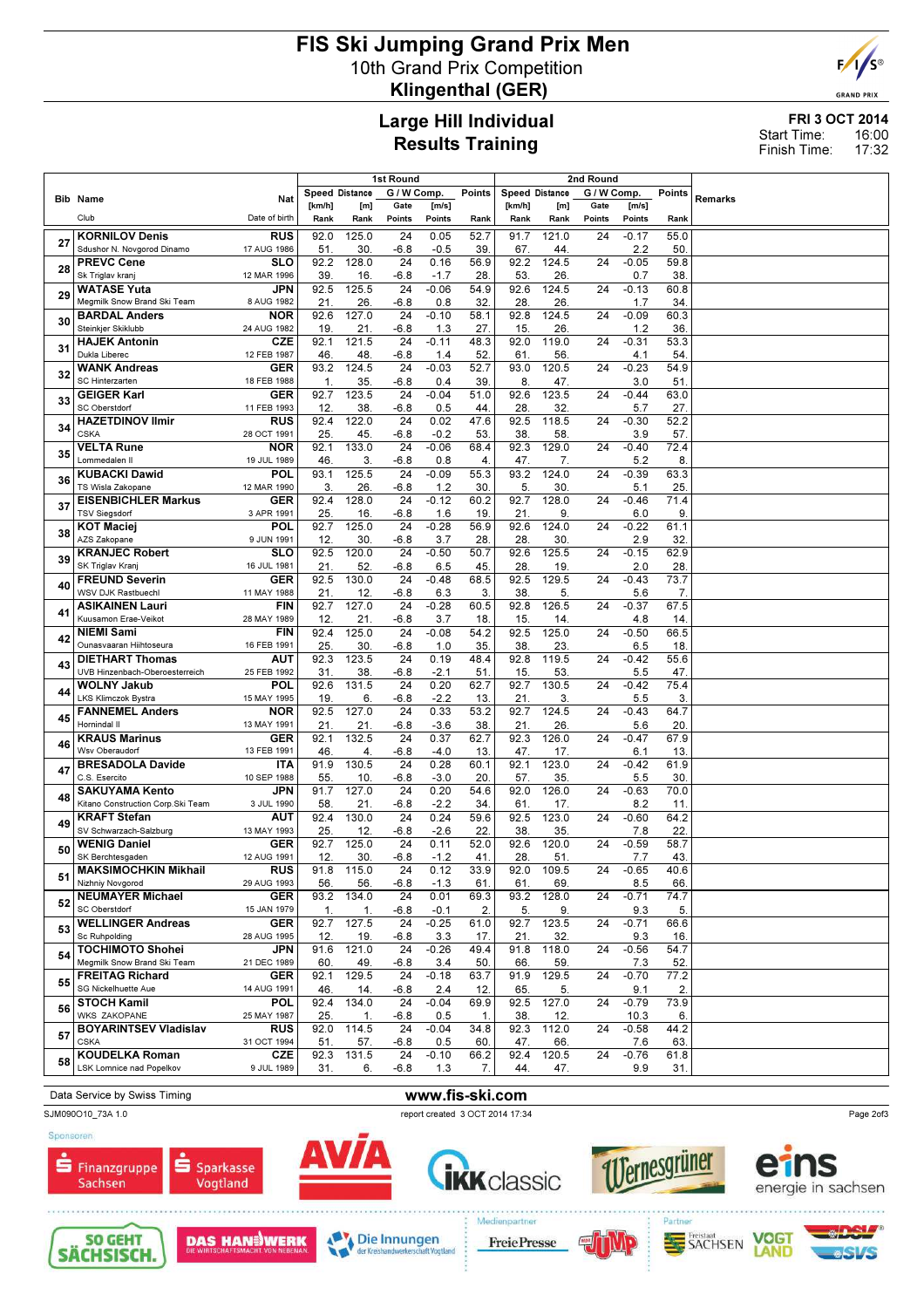# FIS Ski Jumping Grand Prix Men 10th Grand Prix Competition Klingenthal (GER)



**GRAND PRIX** 

## Large Hill Individual Results Training

### FRI 3 OCT 2014 16:00 17:32 Start Time: Finish Time:

|    |                                                          |                           | 1st Round             |              |                |                 |             |                       | 2nd Round          |                |                 |             |         |
|----|----------------------------------------------------------|---------------------------|-----------------------|--------------|----------------|-----------------|-------------|-----------------------|--------------------|----------------|-----------------|-------------|---------|
|    | <b>Bib Name</b>                                          | Nat                       | <b>Speed Distance</b> |              | G / W Comp.    |                 | Points      | <b>Speed Distance</b> |                    | G / W Comp.    |                 | Points      | Remarks |
|    | Club                                                     | Date of birth             | [km/h]<br>Rank        | [m]<br>Rank  | Gate<br>Points | [m/s]<br>Points | Rank        | [km/h]<br>Rank        | [m]<br>Rank        | Gate<br>Points | [m/s]<br>Points | Rank        |         |
|    | <b>KORNILOV Denis</b>                                    | <b>RUS</b>                | 92.0                  | 125.0        | 24             | 0.05            | 52.7        | 91.7                  | 121.0              | 24             | $-0.17$         | 55.0        |         |
| 27 | Sdushor N. Novgorod Dinamo                               | 17 AUG 1986               | 51.                   | 30           | $-6.8$         | $-0.5$          | 39          | 67                    | 44                 |                | 2.2             | 50.         |         |
| 28 | <b>PREVC Cene</b><br>Sk Triglav kranj                    | SLO<br>12 MAR 1996        | 92.2<br>39.           | 128.0<br>16  | 24<br>$-6.8$   | 0.16<br>$-1.7$  | 56.9<br>28  | 92.2<br>53            | 124.5<br>26.       | 24             | $-0.05$<br>0.7  | 59.8<br>38. |         |
|    | <b>WATASE Yuta</b>                                       | <b>JPN</b>                | 92.5                  | 125.5        | 24             | $-0.06$         | 54.9        | 92.6                  | 124.5              | 24             | $-0.13$         | 60.8        |         |
| 29 | Megmilk Snow Brand Ski Team                              | 8 AUG 1982                | 21.                   | 26           | $-6.8$         | 0.8             | 32          | 28                    | 26                 |                | 1.7             | 34.         |         |
| 30 | <b>BARDAL Anders</b><br>Steinkjer Skiklubb               | <b>NOR</b><br>24 AUG 1982 | 92.6<br>19            | 127.0<br>21. | 24<br>$-6.8$   | $-0.10$<br>1.3  | 58.1<br>27. | 92.8<br>15            | 124.5<br>26.       | 24             | $-0.09$<br>1.2  | 60.3<br>36. |         |
| 31 | <b>HAJEK Antonin</b>                                     | CZE                       | 92.1                  | 121.5        | 24             | $-0.11$         | 48.3        | 92.0                  | 119.0              | 24             | $-0.31$         | 53.3        |         |
|    | Dukla Liberec                                            | 12 FEB 1987               | 46                    | 48.          | -6.8           | 1.4             | 52          | 61                    | 56.                |                | 4.1             | 54.         |         |
| 32 | <b>WANK Andreas</b><br>SC Hinterzarten                   | GER<br>18 FEB 1988        | 93.2<br>1.            | 124.5<br>35  | 24<br>$-6.8$   | $-0.03$<br>0.4  | 52.7<br>39  | 93.0<br>8             | 120.5<br>47.       | 24             | $-0.23$<br>3.0  | 54.9<br>51. |         |
| 33 | <b>GEIGER Karl</b>                                       | <b>GER</b>                | 92.7                  | 123.5        | 24             | $-0.04$         | 51.0        | 92.6                  | 123.5              | 24             | $-0.44$         | 63.0        |         |
|    | SC Oberstdorf                                            | 11 FEB 1993               | 12                    | 38           | $-6.8$         | 0.5             | 44          | 28                    | 32.                |                | 5.7             | 27.         |         |
| 34 | <b>HAZETDINOV Ilmir</b><br><b>CSKA</b>                   | <b>RUS</b><br>28 OCT 1991 | 92.4<br>25.           | 122.0<br>45  | 24<br>$-6.8$   | 0.02<br>$-0.2$  | 47.6<br>53  | 92.5<br>38            | 118.5<br>58        | 24             | $-0.30$<br>3.9  | 52.2<br>57. |         |
| 35 | <b>VELTA Rune</b>                                        | <b>NOR</b>                | 92.1                  | 133.0        | 24             | $-0.06$         | 68.4        | 92.3                  | 129.0              | 24             | $-0.40$         | 72.4        |         |
|    | Lommedalen II<br><b>KUBACKI Dawid</b>                    | 19 JUL 1989<br>POL        | 46.<br>93.1           | 3.<br>125.5  | $-6.8$<br>24   | 0.8<br>$-0.09$  | 4.<br>55.3  | 47.<br>93.2           | 7.<br>124.0        | 24             | 5.2<br>$-0.39$  | 8.<br>63.3  |         |
| 36 | TS Wisla Zakopane                                        | 12 MAR 1990               | 3.                    | 26.          | $-6.8$         | 1.2             | 30          | 5                     | 30                 |                | 5.1             | 25.         |         |
| 37 | <b>EISENBICHLER Markus</b>                               | <b>GER</b>                | 92.4                  | 128.0        | 24             | $-0.12$         | 60.2        | 92.7                  | 128.0              | 24             | $-0.46$         | 71.4        |         |
|    | <b>TSV Siegsdorf</b><br><b>KOT Maciei</b>                | 3 APR 1991<br>POL         | 25<br>92.7            | 16<br>125.0  | $-6.8$<br>24   | 1.6<br>$-0.28$  | 19<br>56.9  | 21<br>92.6            | 9.<br>124.0        | 24             | 6.0<br>$-0.22$  | 9.<br>61.1  |         |
| 38 | AZS Zakopane                                             | 9 JUN 1991                | 12.                   | 30           | $-6.8$         | 3.7             | 28          | 28                    | 30.                |                | 2.9             | 32.         |         |
| 39 | <b>KRANJEC Robert</b>                                    | <b>SLO</b>                | 92.5                  | 120.0        | 24             | $-0.50$         | 50.7        | 92.6                  | 125.5              | 24             | $-0.15$         | 62.9        |         |
|    | SK Triglav Krani<br><b>FREUND Severin</b>                | 16 JUL 1981<br><b>GER</b> | 21<br>92.5            | 52<br>130.0  | $-6.8$<br>24   | 6.5<br>$-0.48$  | 45<br>68.5  | 28<br>92.5            | 19.<br>129.5       | 24             | 2.0<br>$-0.43$  | 28.<br>73.7 |         |
| 40 | WSV DJK Rastbuechl                                       | 11 MAY 1988               | 21.                   | 12.          | $-6.8$         | 6.3             | 3.          | 38                    | 5.                 |                | 5.6             | 7.          |         |
| 41 | <b>ASIKAINEN Lauri</b>                                   | <b>FIN</b>                | 92.7                  | 127.0        | 24             | $-0.28$         | 60.5        | 92.8                  | $126.\overline{5}$ | 24             | $-0.37$         | 67.5        |         |
|    | Kuusamon Erae-Veikot<br><b>NIEMI Sami</b>                | 28 MAY 1989<br><b>FIN</b> | 12.<br>92.4           | 21.<br>125.0 | $-6.8$<br>24   | 3.7<br>$-0.08$  | 18<br>54.2  | 15<br>92.5            | 14.<br>125.0       | 24             | 4.8<br>$-0.50$  | 14.<br>66.5 |         |
| 42 | Ounasvaaran Hiihtoseura                                  | 16 FEB 1991               | 25                    | 30           | -6.8           | 1.0             | 35          | 38                    | 23.                |                | 6.5             | 18.         |         |
| 43 | <b>DIETHART Thomas</b><br>UVB Hinzenbach-Oberoesterreich | AUT<br>25 FEB 1992        | 92.3<br>31            | 123.5<br>38. | 24<br>-6.8     | 0.19<br>$-2.1$  | 48.4<br>51  | 92.8<br>15            | 119.5<br>53.       | 24             | $-0.42$<br>5.5  | 55.6<br>47. |         |
|    | <b>WOLNY Jakub</b>                                       | POL                       | 92.6                  | 131.5        | 24             | 0.20            | 62.7        | 92.7                  | 130.5              | 24             | $-0.42$         | 75.4        |         |
| 44 | <b>LKS Klimczok Bystra</b>                               | 15 MAY 1995               | 19                    | 6.           | $-6.8$         | $-2.2$          | 13          | 21                    | 3.                 |                | 5.5             | 3.          |         |
| 45 | <b>FANNEMEL Anders</b><br>Hornindal II                   | <b>NOR</b><br>13 MAY 1991 | 92.5<br>21            | 127.0<br>21  | 24<br>$-6.8$   | 0.33<br>$-3.6$  | 53.2<br>38  | 92.7<br>21            | 124.5<br>26.       | 24             | $-0.43$<br>5.6  | 64.7<br>20. |         |
| 46 | <b>KRAUS Marinus</b>                                     | GER                       | 92.1                  | 132.5        | 24             | 0.37            | 62.7        | 92.3                  | 126.0              | 24             | $-0.47$         | 67.9        |         |
|    | Wsv Oberaudorf<br><b>BRESADOLA Davide</b>                | 13 FEB 1991<br><b>ITA</b> | 46<br>91.9            | 4.<br>130.5  | $-6.8$<br>24   | $-4.0$<br>0.28  | 13.<br>60.1 | 47.<br>92.1           | 17.<br>123.0       | 24             | 6.1<br>$-0.42$  | 13.<br>61.9 |         |
| 47 | C.S. Esercito                                            | 10 SEP 1988               | 55.                   | 10           | $-6.8$         | $-3.0$          | 20          | 57.                   | 35.                |                | 5.5             | 30.         |         |
| 48 | <b>SAKUYAMA Kento</b>                                    | JPN                       | 91.7                  | 127.0        | 24             | 0.20            | 54.6        | 92.0                  | 126.0              | 24             | $-0.63$         | 70.0        |         |
|    | Kitano Construction Corp.Ski Team<br><b>KRAFT Stefan</b> | 3 JUL 1990<br>AUT         | 58.<br>92.4           | 21<br>130.0  | $-6.8$<br>24   | $-2.2$<br>0.24  | 34<br>59.6  | 61<br>92.5            | 17.<br>123.0       | 24             | 8.2<br>$-0.60$  | 11.<br>64.2 |         |
| 49 | SV Schwarzach-Salzburg                                   | 13 MAY 1993               | 25                    | 12.          | -6.8           | $-2.6$          | 22          | 38                    | 35.                |                | 7.8             | 22.         |         |
| 50 | <b>WENIG Daniel</b><br>SK Berchtesgaden                  | <b>GER</b><br>12 AUG 1991 | 92.7<br>12.           | 125.0<br>30  | 24<br>$-6.8$   | 0.11<br>$-1.2$  | 52.0<br>41. | 92.6<br>28            | 120.0<br>51        | 24             | $-0.59$         | 58.7<br>43. |         |
|    | <b>MAKSIMOCHKIN Mikhail</b>                              | <b>RUS</b>                |                       | 91.8 115.0   | 24             | 0.12            | 33.9        | 92.0                  | 109.5              | 24             | 7.7<br>$-0.65$  | 40.6        |         |
| 51 | Nizhniy Novgorod                                         | 29 AUG 1993               | 56.                   | 56.          | $-6.8$         | $-1.3$          | 61          | 61.                   | 69.                |                | 8.5             | 66.         |         |
| 52 | <b>NEUMAYER Michael</b><br>SC Oberstdorf                 | <b>GER</b><br>15 JAN 1979 | 93.2<br>1.            | 134.0<br>1.  | 24<br>$-6.8$   | 0.01<br>$-0.1$  | 69.3<br>2.  | 93.2<br>5.            | 128.0<br>9.        | 24             | $-0.71$<br>9.3  | 74.7<br>5.  |         |
| 53 | <b>WELLINGER Andreas</b>                                 | <b>GER</b>                | 92.7                  | 127.5        | 24             | $-0.25$         | 61.0        | 92.7                  | 123.5              | 24             | $-0.71$         | 66.6        |         |
|    | Sc Ruhpolding                                            | 28 AUG 1995               | 12.                   | 19.          | $-6.8$         | 3.3             | 17.         | 21.                   | 32.                |                | 9.3             | 16.         |         |
| 54 | <b>TOCHIMOTO Shohei</b><br>Megmilk Snow Brand Ski Team   | JPN<br>21 DEC 1989        | 91.6<br>60            | 121.0<br>49. | 24<br>$-6.8$   | $-0.26$<br>3.4  | 49.4<br>50. | 91.8<br>66            | 118.0<br>59.       | 24             | $-0.56$<br>7.3  | 54.7<br>52. |         |
| 55 | <b>FREITAG Richard</b>                                   | GER                       | 92.1                  | 129.5        | 24             | $-0.18$         | 63.7        | 91.9                  | 129.5              | 24             | $-0.70$         | 77.2        |         |
|    | SG Nickelhuette Aue<br><b>STOCH Kamil</b>                | 14 AUG 1991<br>POL        | 46<br>92.4            | 14.<br>134.0 | -6.8<br>24     | 2.4<br>$-0.04$  | 12.<br>69.9 | 65<br>92.5            | 5.<br>127.0        | 24             | 9.1<br>$-0.79$  | 2.<br>73.9  |         |
| 56 | WKS ZAKOPANE                                             | 25 MAY 1987               | 25.                   | 1.           | $-6.8$         | 0.5             | 1.          | 38                    | 12.                |                | 10.3            | 6.          |         |
| 57 | <b>BOYARINTSEV Vladislav</b>                             | RUS                       | 92.0                  | 114.5        | 24             | $-0.04$         | 34.8        | 92.3                  | 112.0              | 24             | $-0.58$         | 44.2        |         |
|    | <b>CSKA</b><br>KOUDELKA Roman                            | 31 OCT 1994<br><b>CZE</b> | 51.<br>92.3           | 57.<br>131.5 | $-6.8$<br>24   | 0.5<br>$-0.10$  | 60.<br>66.2 | 47.<br>92.4           | 66.<br>120.5       | 24             | 7.6<br>$-0.76$  | 63.<br>61.8 |         |
| 58 | LSK Lomnice nad Popelkov                                 | 9 JUL 1989                | 31.                   | 6.           | $-6.8$         | 1.3             | 7.          | 44.                   | 47.                |                | 9.9             | 31.         |         |
|    |                                                          |                           |                       |              |                |                 |             |                       |                    |                |                 |             |         |

## Data Service by Swiss Timing WWW.fis-ski.com





Page 2of3





Vogtland





MOR



SACHSEN









Die Innungen t Vogtland

Medienpartne **FreiePresse**